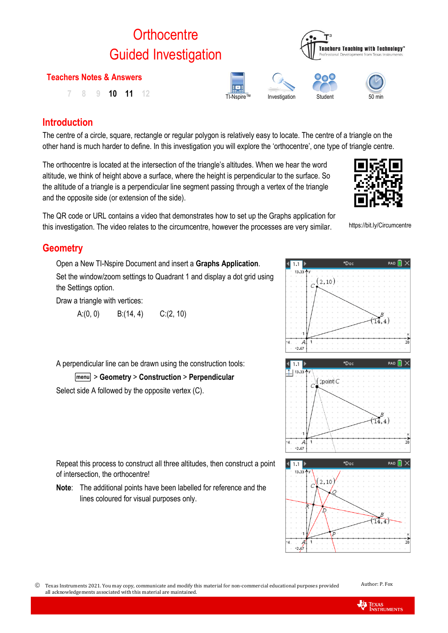# **Orthocentre** Guided Investigation

# **Teachers Notes & Answers**

TI-Nspire™ Investigation Student <sup>50</sup> min **7 8 9 10 11 12**

# **Introduction**

The centre of a circle, square, rectangle or regular polygon is relatively easy to locate. The centre of a triangle on the other hand is much harder to define. In this investigation you will explore the 'orthocentre', one type of triangle centre.

The orthocentre is located at the intersection of the triangle's altitudes. When we hear the word altitude, we think of height above a surface, where the height is perpendicular to the surface. So the altitude of a triangle is a perpendicular line segment passing through a vertex of the triangle and the opposite side (or extension of the side).

The QR code or URL contains a video that demonstrates how to set up the Graphs application for this investigation. The video relates to the circumcentre, however the processes are very similar.

# **Geometry**

Open a New TI-Nspire Document and insert a **Graphs Application**. Set the window/zoom settings to Quadrant 1 and display a dot grid using the Settings option.

Draw a triangle with vertices:

A: $(0, 0)$  B: $(14, 4)$  C: $(2, 10)$ 

A perpendicular line can be drawn using the construction tools:

b> **Geometry** > **Construction** > **Perpendicular**

Select side A followed by the opposite vertex (C).

Repeat this process to construct all three altitudes, then construct a point of intersection, the orthocentre!

**Note**: The additional points have been labelled for reference and the lines coloured for visual purposes only.





https://bit.ly/Circumcentre



**Teachers Teaching with Technology'** 



**TEXAS**<br>INSTRUMENTS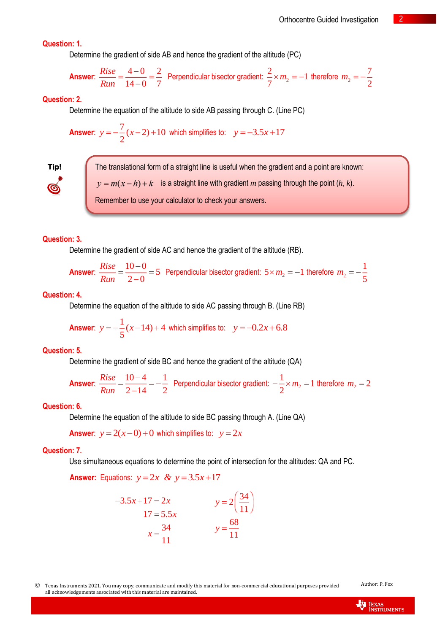## **Question: 1.**

Determine the gradient of side AB and hence the gradient of the altitude (PC)

**Answer**: 
$$
\frac{Rise}{Run} = \frac{4-0}{14-0} = \frac{2}{7}
$$
 Perpendicular bisector gradient:  $\frac{2}{7} \times m_2 = -1$  therefore  $m_2 = -\frac{7}{2}$ 

#### **Question: 2.**

Determine the equation of the altitude to side AB passing through C. (Line PC)

**Answer**: 
$$
y = -\frac{7}{2}(x-2) + 10
$$
 which simplifies to:  $y = -3.5x + 17$ 

**Tip!** 

The translational form of a straight line is useful when the gradient and a point are known:  $i y = m(x - h) + k$  is a straight line with gradient *m* passing through the point (*h*, *k*).

Remember to use your calculator to check your answers.

### **Question: 3.**

Determine the gradient of side AC and hence the gradient of the altitude (RB).

**Answer**: 
$$
\frac{Rise}{Run} = \frac{10-0}{2-0} = 5
$$
 Perpendicular bisector gradient:  $5 \times m_2 = -1$  therefore  $m_2 = -\frac{1}{5}$ 

## **Question: 4.**

Determine the equation of the altitude to side AC passing through B. (Line RB)

**Answer**: 
$$
y = -\frac{1}{5}(x-14) + 4
$$
 which simplifies to:  $y = -0.2x + 6.8$ 

## **Question: 5.**

Determine the gradient of side BC and hence the gradient of the altitude (QA)

**Answer**: 
$$
\frac{Rise}{Run} = \frac{10-4}{2-14} = -\frac{1}{2}
$$
 Perpendicular bisector gradient:  $-\frac{1}{2} \times m_2 = 1$  therefore  $m_2 = 2$ 

#### **Question: 6.**

Determine the equation of the altitude to side BC passing through A. (Line QA)

**Answer**:  $y = 2(x-0) + 0$  which simplifies to:  $y = 2x$ 

#### **Question: 7.**

Use simultaneous equations to determine the point of intersection for the altitudes: QA and PC.

**Answer:** Equations:  $y = 2x$  &  $y = 3.5x + 17$ 

$$
-3.5x + 17 = 2x
$$
  
\n
$$
17 = 5.5x
$$
  
\n
$$
x = \frac{34}{11}
$$
  
\n
$$
y = 2\left(\frac{34}{11}\right)
$$
  
\n
$$
y = \frac{68}{11}
$$

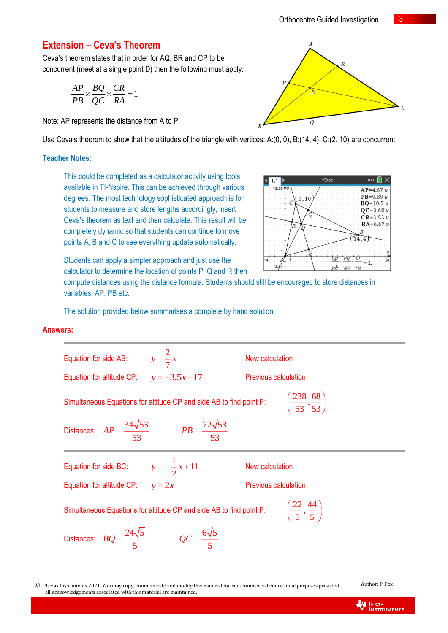# **Extension – Ceva's Theorem**

Ceva's theorem states that in order for AQ, BR and CP to be concurrent (meet at a single point D) then the following must apply:

$$
\frac{AP}{PB} \times \frac{BQ}{QC} \times \frac{CR}{RA} = 1
$$

Note: AP represents the distance from A to P.

Use Ceva's theorem to show that the altitudes of the triangle with vertices: A:(0, 0), B:(14, 4), C:(2, 10) are concurrent.

## **Teacher Notes:**

This could be completed as a calculator activity using tools available in TI-Nspire. This can be achieved through various degrees. The most technology sophisticated approach is for students to measure and store lengths accordingly, insert Ceva's theorem as text and then calculate. This result will be completely dynamic so that students can continue to move points A, B and C to see everything update automatically.

\*Doc  $1.1$ **RAD**  $13.3$  $AP = 4.67 \nu$  $PB = 9.89 u$ 2,10  $BQ = 10.7 u$  $QC = 2.68u$  $CR = 3.53 u$  $RA = 6.67 u$ άp  $\frac{1}{20}$  $= 1$ ra

Students can apply a simpler approach and just use the calculator to determine the location of points P, Q and R then

compute distances using the distance formula. Students should still be encouraged to store distances in variables: AP, PB etc.

The solution provided below summarises a complete by hand solution.

#### **Answers:**

Equation for side AB: 
$$
y = \frac{2}{7}x
$$
 New calculation  
\nEquation for altitude CP:  $y = -3.5x + 17$  Previous calculation  
\nSimultaneous Equations for altitude CP and side AB to find point P:  $\left(\frac{238}{53}, \frac{68}{53}\right)$   
\nDistances:  $\overline{AP} = \frac{34\sqrt{53}}{53}$   $\overline{PB} = \frac{72\sqrt{53}}{53}$   
\nEquation for side BC:  $y = -\frac{1}{2}x + 11$  New calculation  
\nEquation for altitude CP:  $y = 2x$  Previous calculation  
\nSimultaneous Equations for altitude CP and side AB to find point P:  $\left(\frac{22}{5}, \frac{44}{5}\right)$   
\nDistances:  $\overline{BQ} = \frac{24\sqrt{5}}{5}$   $\overline{QC} = \frac{6\sqrt{5}}{5}$ 

 Texas Instruments 2021. You may copy, communicate and modify this material for non-commercial educational purposes provided all acknowledgements associated with this material are maintained.

Author: P. Fox



Q